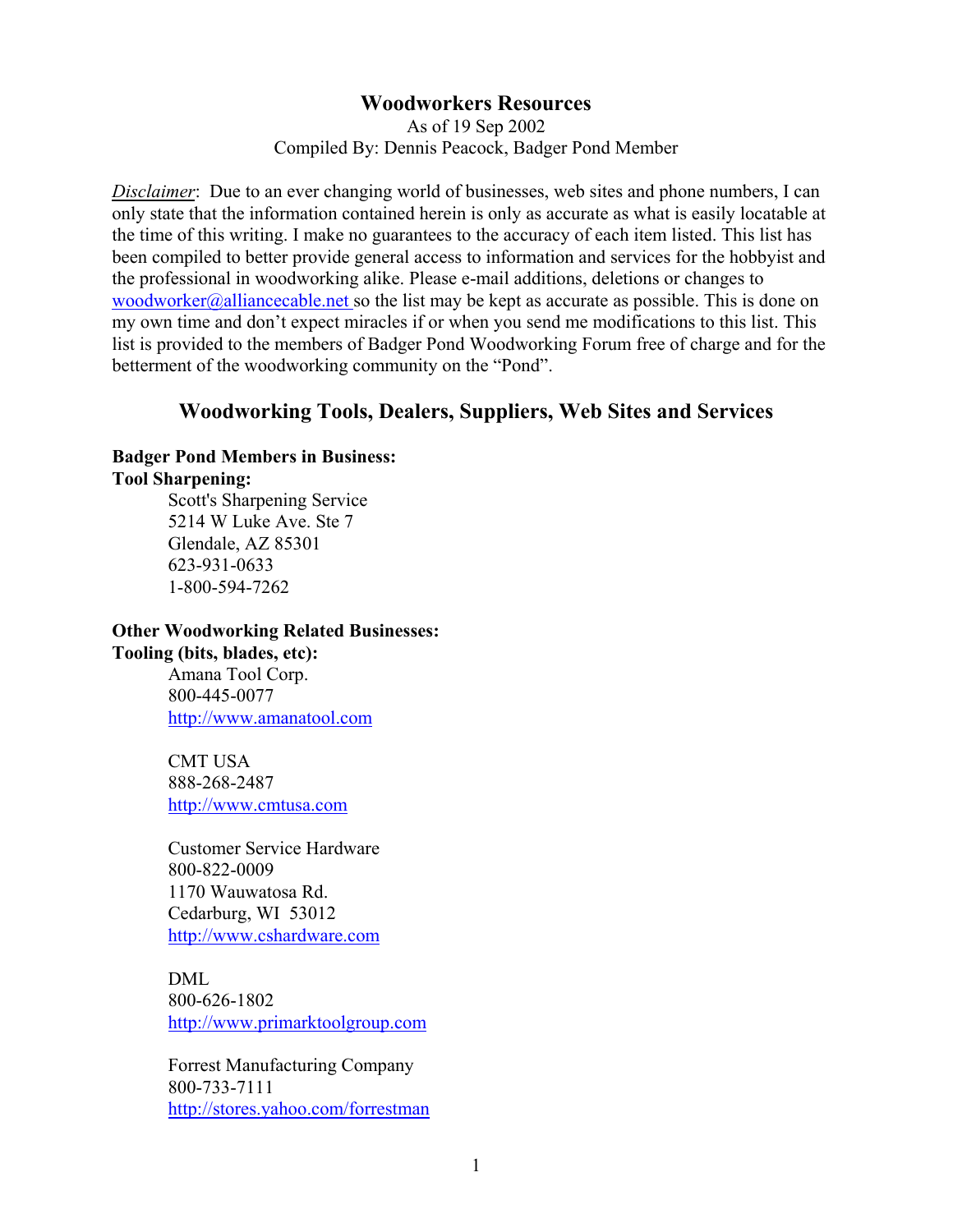## **Woodworkers Resources**

As of 19 Sep 2002 Compiled By: Dennis Peacock, Badger Pond Member

*Disclaimer*: Due to an ever changing world of businesses, web sites and phone numbers, I can only state that the information contained herein is only as accurate as what is easily locatable at the time of this writing. I make no guarantees to the accuracy of each item listed. This list has been compiled to better provide general access to information and services for the hobbyist and the professional in woodworking alike. Please e-mail additions, deletions or changes to woodworker@alliancecable.net so the list may be kept as accurate as possible. This is done on my own time and don't expect miracles if or when you send me modifications to this list. This list is provided to the members of Badger Pond Woodworking Forum free of charge and for the betterment of the woodworking community on the "Pond".

# **Woodworking Tools, Dealers, Suppliers, Web Sites and Services**

#### **Badger Pond Members in Business: Tool Sharpening:**

Scott's Sharpening Service 5214 W Luke Ave. Ste 7 Glendale, AZ 85301 623-931-0633 1-800-594-7262

# **Other Woodworking Related Businesses: Tooling (bits, blades, etc):**

Amana Tool Corp. 800-445-0077 <http://www.amanatool.com>

CMT USA 888-268-2487 <http://www.cmtusa.com>

Customer Service Hardware 800-822-0009 1170 Wauwatosa Rd. Cedarburg, WI 53012 <http://www.cshardware.com>

DML 800-626-1802 <http://www.primarktoolgroup.com>

Forrest Manufacturing Company 800-733-7111 <http://stores.yahoo.com/forrestman>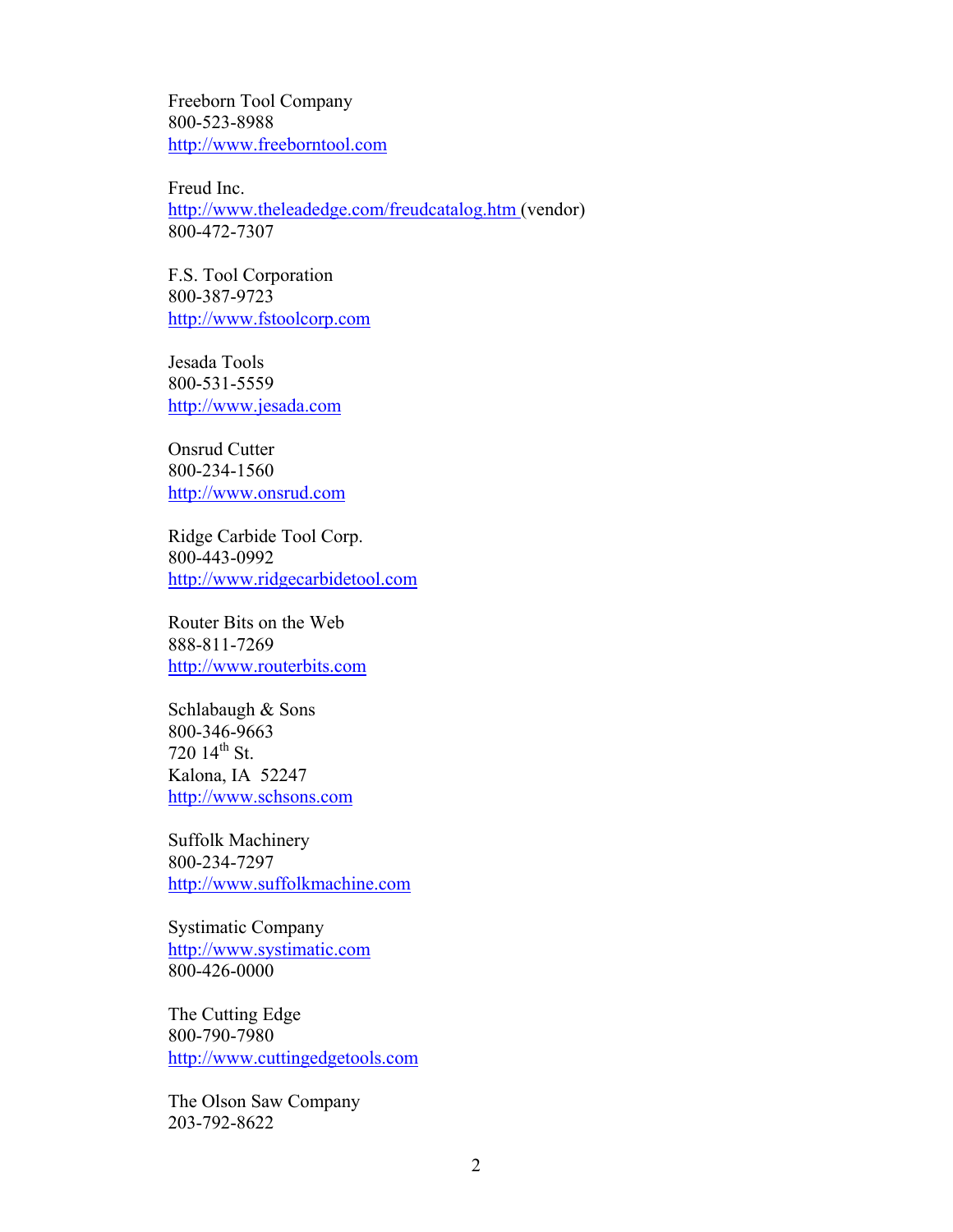Freeborn Tool Company 800-523-8988 <http://www.freeborntool.com>

Freud Inc. <http://www.theleadedge.com/freudcatalog.htm>(vendor) 800-472-7307

F.S. Tool Corporation 800-387-9723 <http://www.fstoolcorp.com>

Jesada Tools 800-531-5559 <http://www.jesada.com>

Onsrud Cutter 800-234-1560 <http://www.onsrud.com>

Ridge Carbide Tool Corp. 800-443-0992 <http://www.ridgecarbidetool.com>

Router Bits on the Web 888-811-7269 <http://www.routerbits.com>

Schlabaugh & Sons 800-346-9663 720  $14^{th}$  St. Kalona, IA 52247 <http://www.schsons.com>

Suffolk Machinery 800-234-7297 <http://www.suffolkmachine.com>

Systimatic Company <http://www.systimatic.com> 800-426-0000

The Cutting Edge 800-790-7980 <http://www.cuttingedgetools.com>

The Olson Saw Company 203-792-8622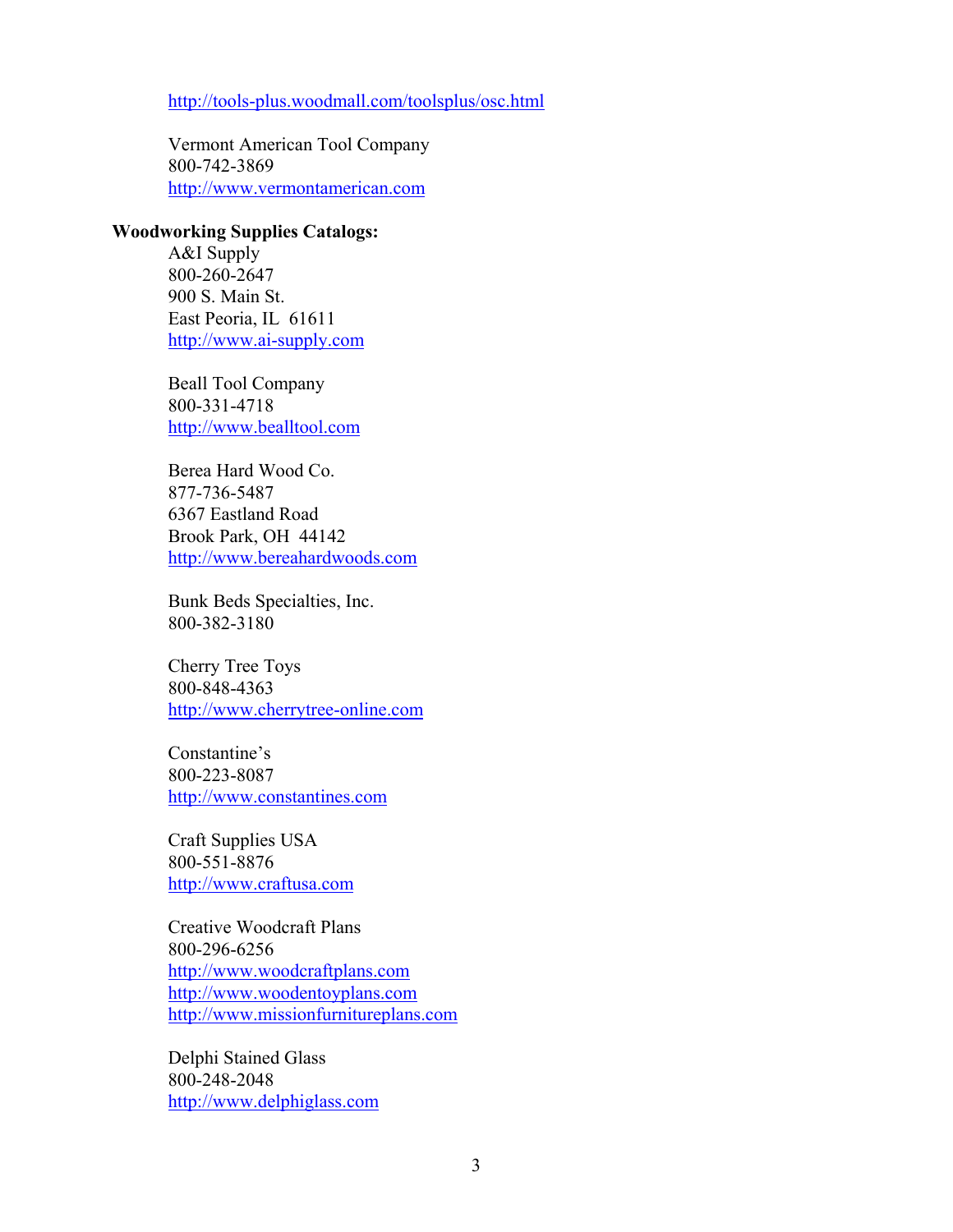# <http://tools-plus.woodmall.com/toolsplus/osc.html>

Vermont American Tool Company 800-742-3869 <http://www.vermontamerican.com>

## **Woodworking Supplies Catalogs:**

A&I Supply 800-260-2647 900 S. Main St. East Peoria, IL 61611 <http://www.ai-supply.com>

Beall Tool Company 800-331-4718 <http://www.bealltool.com>

Berea Hard Wood Co. 877-736-5487 6367 Eastland Road Brook Park, OH 44142 <http://www.bereahardwoods.com>

Bunk Beds Specialties, Inc. 800-382-3180

Cherry Tree Toys 800-848-4363 <http://www.cherrytree-online.com>

Constantine's 800-223-8087 <http://www.constantines.com>

Craft Supplies USA 800-551-8876 <http://www.craftusa.com>

Creative Woodcraft Plans 800-296-6256 <http://www.woodcraftplans.com> <http://www.woodentoyplans.com> <http://www.missionfurnitureplans.com>

Delphi Stained Glass 800-248-2048 <http://www.delphiglass.com>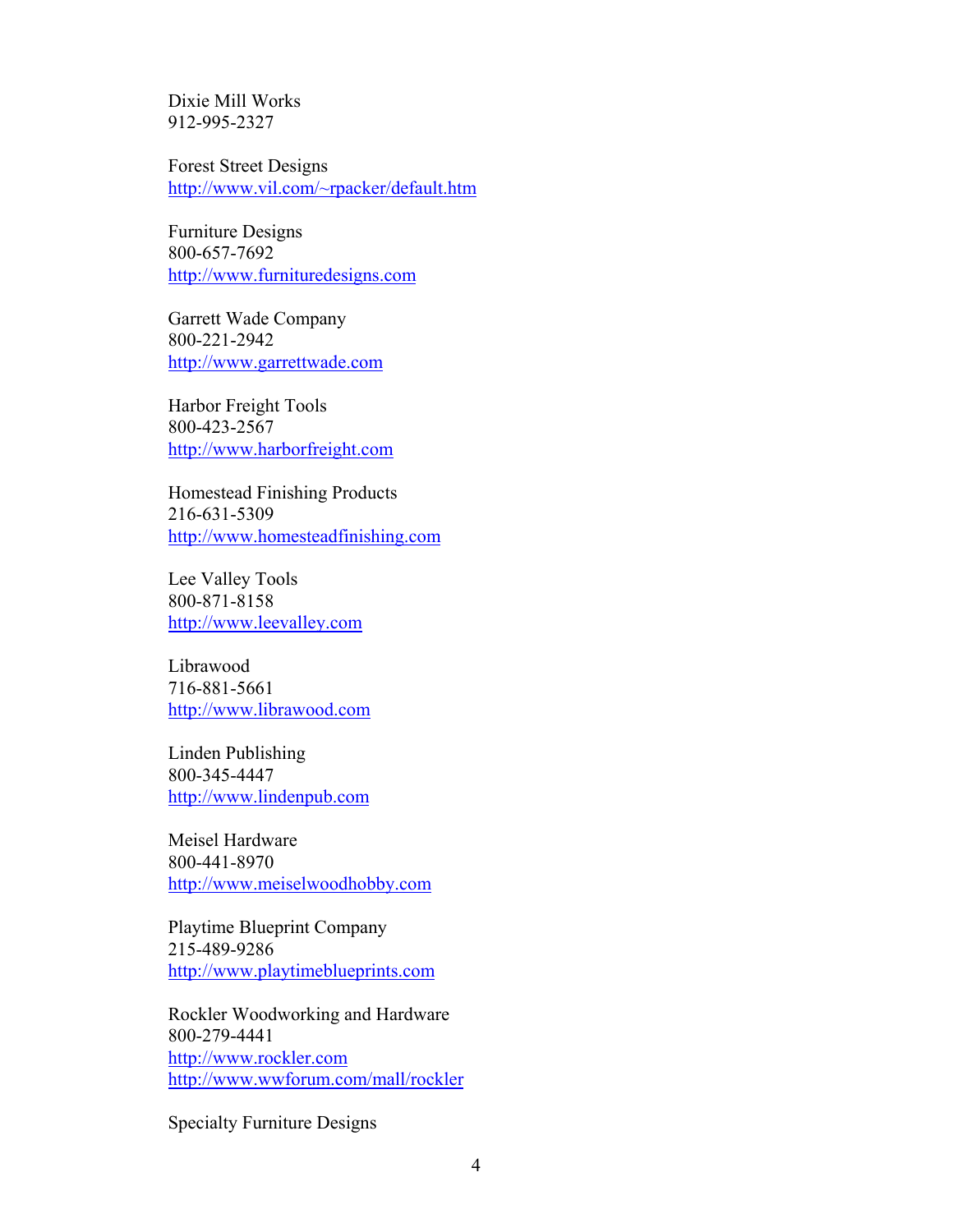Dixie Mill Works 912-995-2327

Forest Street Designs <http://www.vil.com/~rpacker/default.htm>

Furniture Designs 800-657-7692 <http://www.furnituredesigns.com>

Garrett Wade Company 800-221-2942 <http://www.garrettwade.com>

Harbor Freight Tools 800-423-2567 <http://www.harborfreight.com>

Homestead Finishing Products 216-631-5309 <http://www.homesteadfinishing.com>

Lee Valley Tools 800-871-8158 <http://www.leevalley.com>

Librawood 716-881-5661 <http://www.librawood.com>

Linden Publishing 800-345-4447 <http://www.lindenpub.com>

Meisel Hardware 800-441-8970 <http://www.meiselwoodhobby.com>

Playtime Blueprint Company 215-489-9286 <http://www.playtimeblueprints.com>

Rockler Woodworking and Hardware 800-279-4441 <http://www.rockler.com> <http://www.wwforum.com/mall/rockler>

Specialty Furniture Designs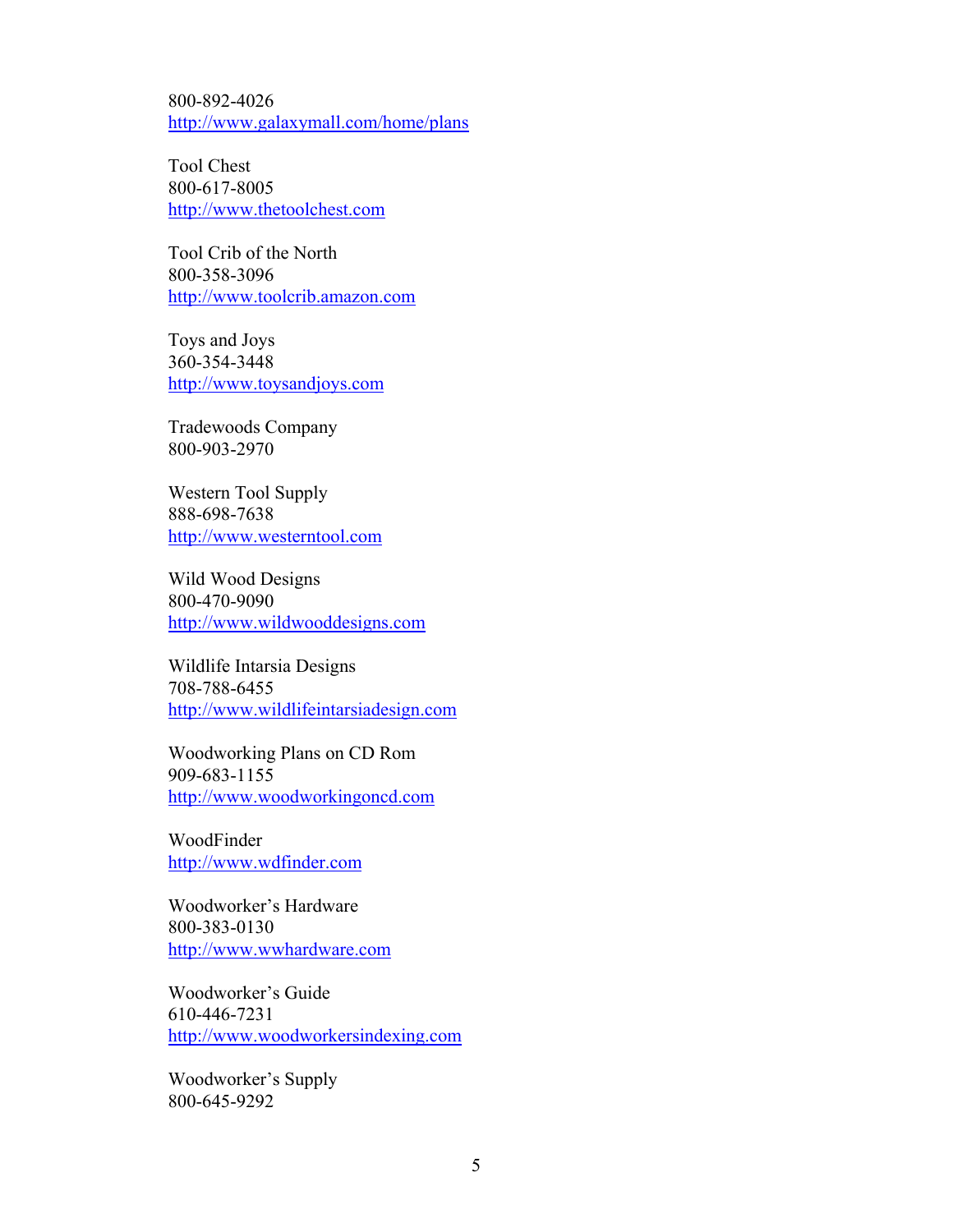800-892-4026 <http://www.galaxymall.com/home/plans>

Tool Chest 800-617-8005 <http://www.thetoolchest.com>

Tool Crib of the North 800-358-3096 <http://www.toolcrib.amazon.com>

Toys and Joys 360-354-3448 <http://www.toysandjoys.com>

Tradewoods Company 800-903-2970

Western Tool Supply 888-698-7638 <http://www.westerntool.com>

Wild Wood Designs 800-470-9090 <http://www.wildwooddesigns.com>

Wildlife Intarsia Designs 708-788-6455 <http://www.wildlifeintarsiadesign.com>

Woodworking Plans on CD Rom 909-683-1155 <http://www.woodworkingoncd.com>

WoodFinder <http://www.wdfinder.com>

Woodworker's Hardware 800-383-0130 <http://www.wwhardware.com>

Woodworker's Guide 610-446-7231 <http://www.woodworkersindexing.com>

Woodworker's Supply 800-645-9292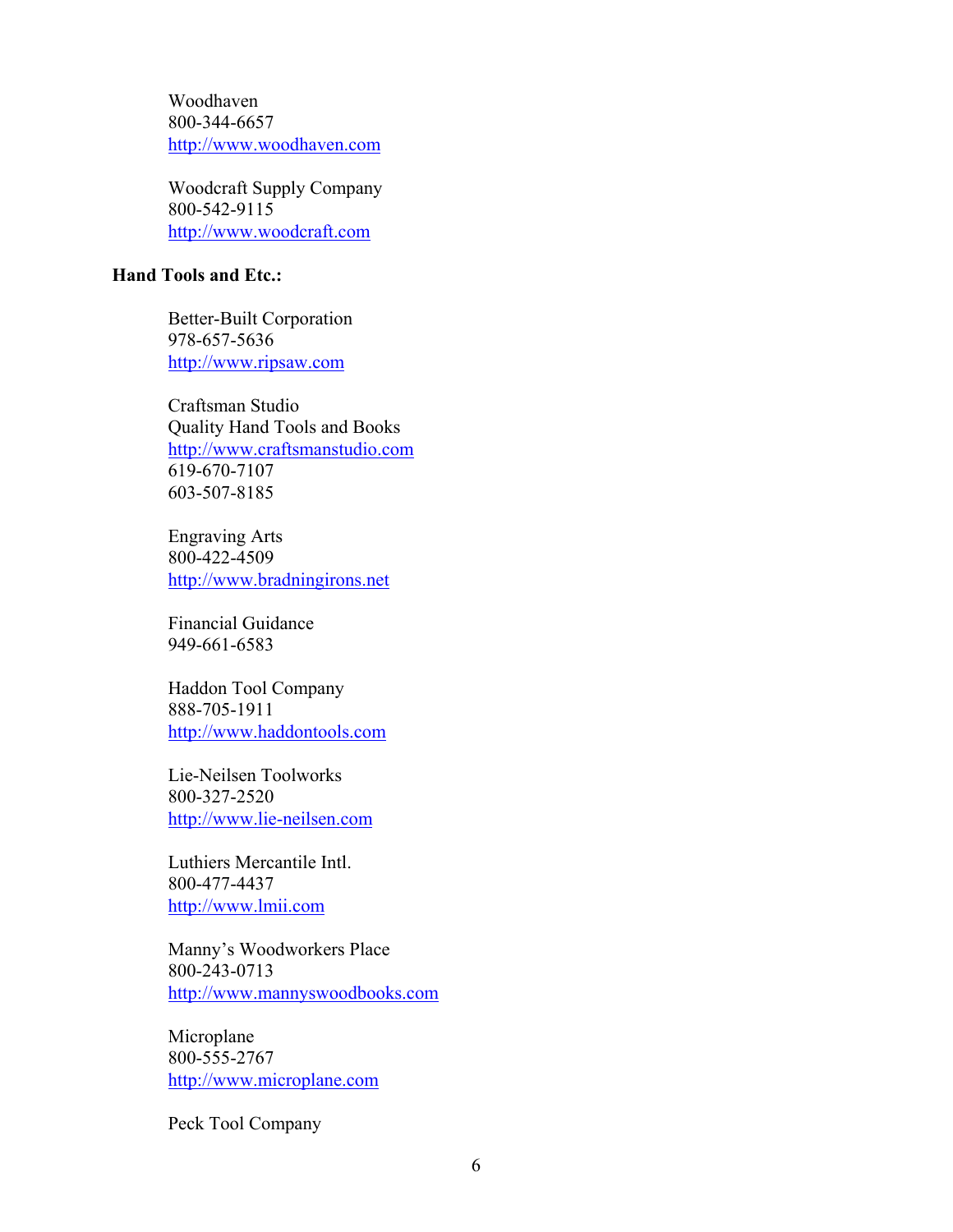Woodhaven 800-344-6657 <http://www.woodhaven.com>

Woodcraft Supply Company 800-542-9115 <http://www.woodcraft.com>

# **Hand Tools and Etc.:**

Better-Built Corporation 978-657-5636 <http://www.ripsaw.com>

Craftsman Studio Quality Hand Tools and Books <http://www.craftsmanstudio.com> 619-670-7107 603-507-8185

Engraving Arts 800-422-4509 <http://www.bradningirons.net>

Financial Guidance 949-661-6583

Haddon Tool Company 888-705-1911 <http://www.haddontools.com>

Lie-Neilsen Toolworks 800-327-2520 <http://www.lie-neilsen.com>

Luthiers Mercantile Intl. 800-477-4437 <http://www.lmii.com>

Manny's Woodworkers Place 800-243-0713 <http://www.mannyswoodbooks.com>

Microplane 800-555-2767 <http://www.microplane.com>

Peck Tool Company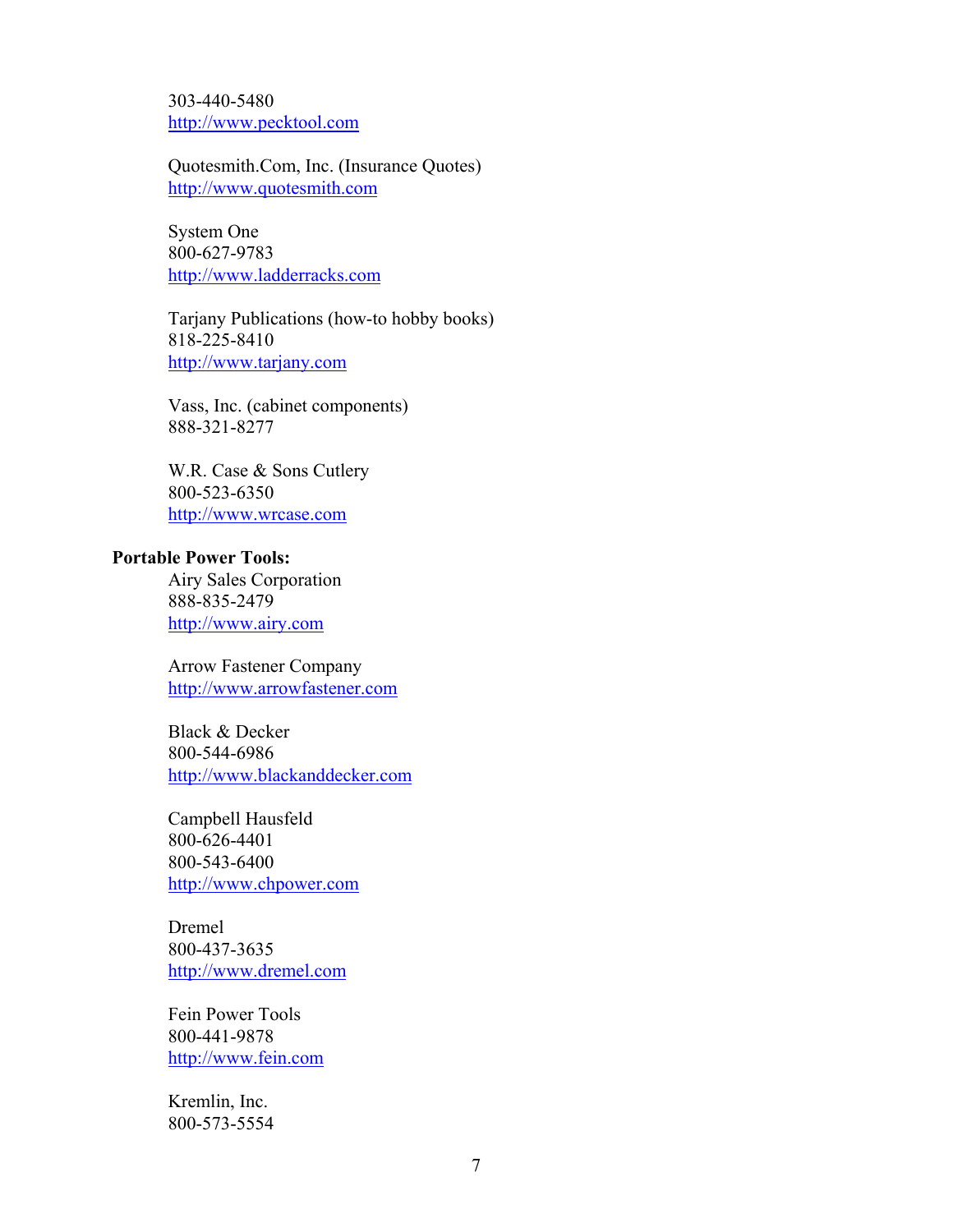303-440-5480 <http://www.pecktool.com>

Quotesmith.Com, Inc. (Insurance Quotes) <http://www.quotesmith.com>

System One 800-627-9783 <http://www.ladderracks.com>

Tarjany Publications (how-to hobby books) 818-225-8410 <http://www.tarjany.com>

Vass, Inc. (cabinet components) 888-321-8277

W.R. Case & Sons Cutlery 800-523-6350 <http://www.wrcase.com>

## **Portable Power Tools:**

Airy Sales Corporation 888-835-2479 <http://www.airy.com>

Arrow Fastener Company <http://www.arrowfastener.com>

Black & Decker 800-544-6986 <http://www.blackanddecker.com>

Campbell Hausfeld 800-626-4401 800-543-6400 <http://www.chpower.com>

Dremel 800-437-3635 <http://www.dremel.com>

Fein Power Tools 800-441-9878 <http://www.fein.com>

Kremlin, Inc. 800-573-5554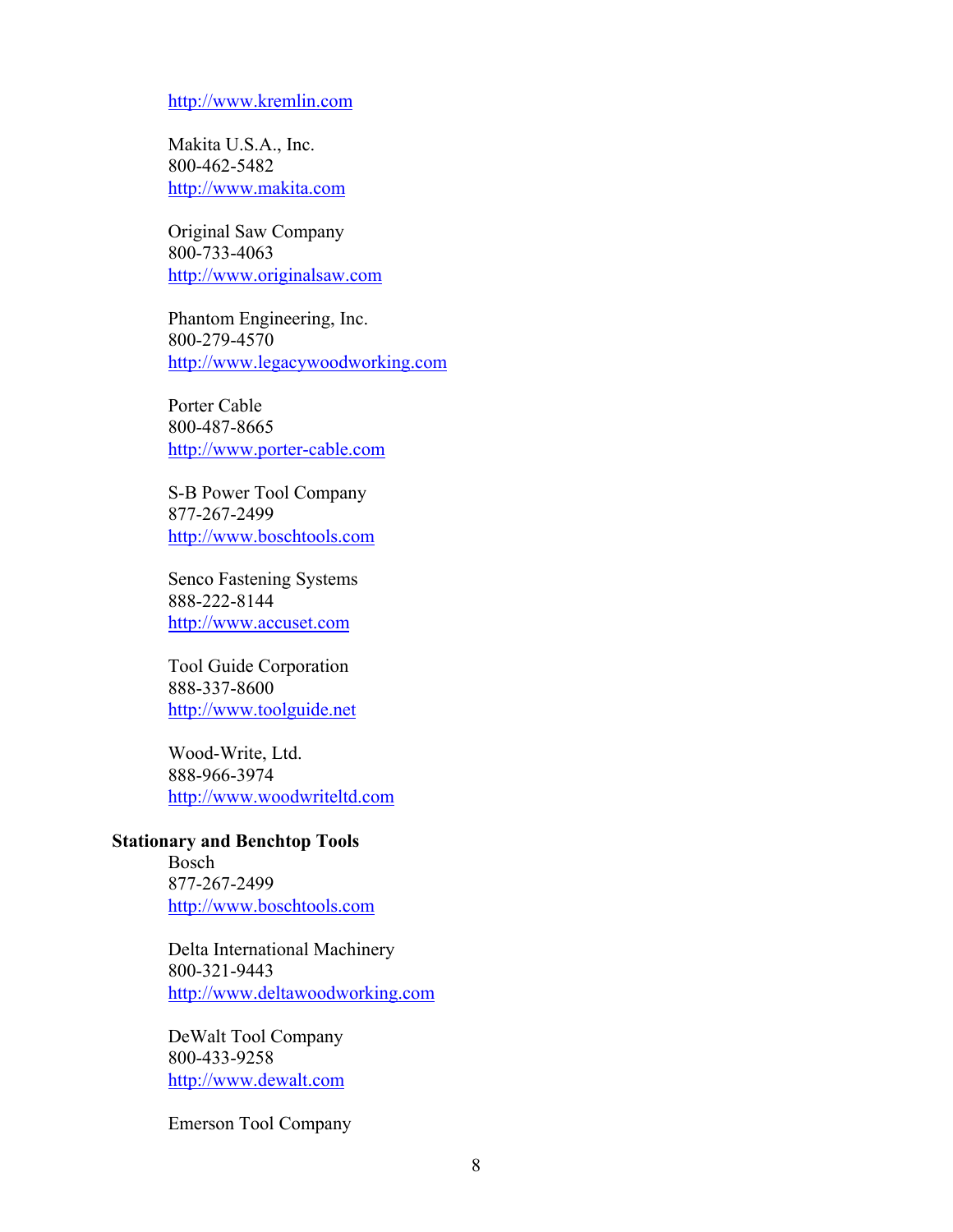#### <http://www.kremlin.com>

Makita U.S.A., Inc. 800-462-5482 <http://www.makita.com>

Original Saw Company 800-733-4063 <http://www.originalsaw.com>

Phantom Engineering, Inc. 800-279-4570 <http://www.legacywoodworking.com>

Porter Cable 800-487-8665 <http://www.porter-cable.com>

S-B Power Tool Company 877-267-2499 <http://www.boschtools.com>

Senco Fastening Systems 888-222-8144 <http://www.accuset.com>

Tool Guide Corporation 888-337-8600 <http://www.toolguide.net>

Wood-Write, Ltd. 888-966-3974 <http://www.woodwriteltd.com>

## **Stationary and Benchtop Tools**

Bosch 877-267-2499 <http://www.boschtools.com>

Delta International Machinery 800-321-9443 <http://www.deltawoodworking.com>

DeWalt Tool Company 800-433-9258 <http://www.dewalt.com>

Emerson Tool Company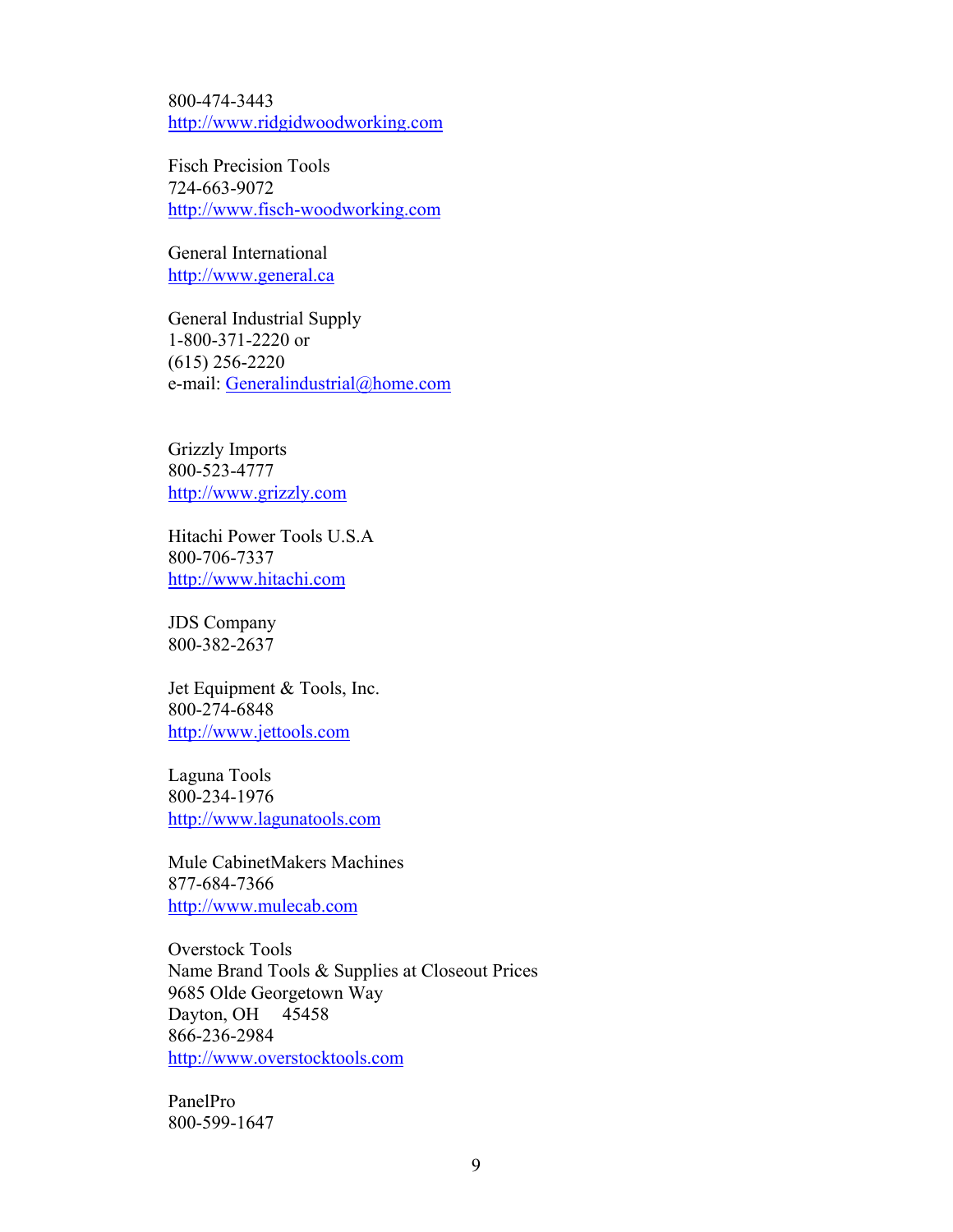800-474-3443 <http://www.ridgidwoodworking.com>

Fisch Precision Tools 724-663-9072 <http://www.fisch-woodworking.com>

General International <http://www.general.ca>

General Industrial Supply 1-800-371-2220 or (615) 256-2220 e-mail: Generalindustrial@home.com

Grizzly Imports 800-523-4777 <http://www.grizzly.com>

Hitachi Power Tools U.S.A 800-706-7337 <http://www.hitachi.com>

JDS Company 800-382-2637

Jet Equipment & Tools, Inc. 800-274-6848 <http://www.jettools.com>

Laguna Tools 800-234-1976 <http://www.lagunatools.com>

Mule CabinetMakers Machines 877-684-7366 <http://www.mulecab.com>

Overstock Tools Name Brand Tools & Supplies at Closeout Prices 9685 Olde Georgetown Way Dayton, OH 45458 866-236-2984 <http://www.overstocktools.com>

PanelPro 800-599-1647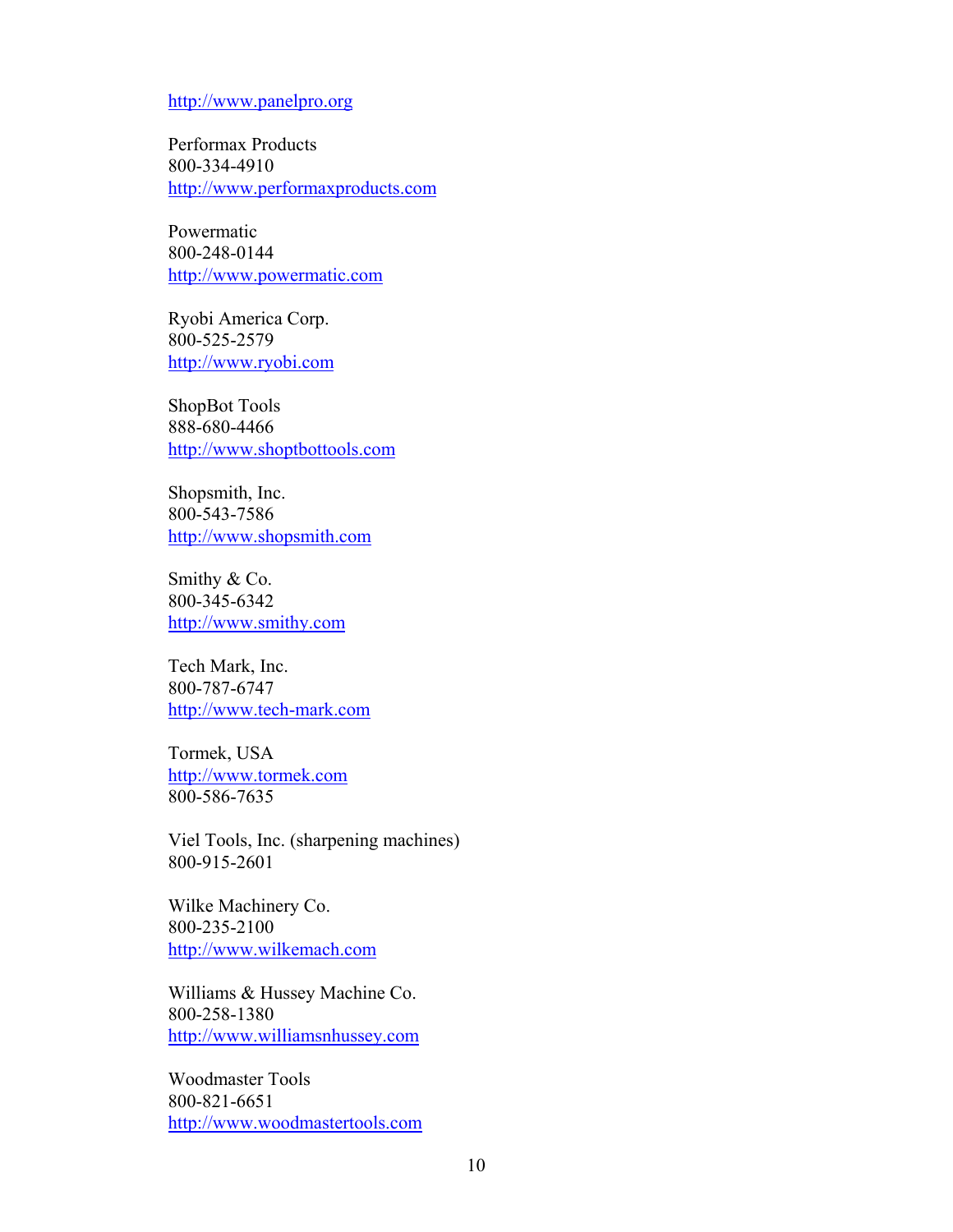<http://www.panelpro.org>

Performax Products 800-334-4910 <http://www.performaxproducts.com>

Powermatic 800-248-0144 <http://www.powermatic.com>

Ryobi America Corp. 800-525-2579 <http://www.ryobi.com>

ShopBot Tools 888-680-4466 <http://www.shoptbottools.com>

Shopsmith, Inc. 800-543-7586 <http://www.shopsmith.com>

Smithy & Co. 800-345-6342 <http://www.smithy.com>

Tech Mark, Inc. 800-787-6747 <http://www.tech-mark.com>

Tormek, USA <http://www.tormek.com> 800-586-7635

Viel Tools, Inc. (sharpening machines) 800-915-2601

Wilke Machinery Co. 800-235-2100 <http://www.wilkemach.com>

Williams & Hussey Machine Co. 800-258-1380 <http://www.williamsnhussey.com>

Woodmaster Tools 800-821-6651 <http://www.woodmastertools.com>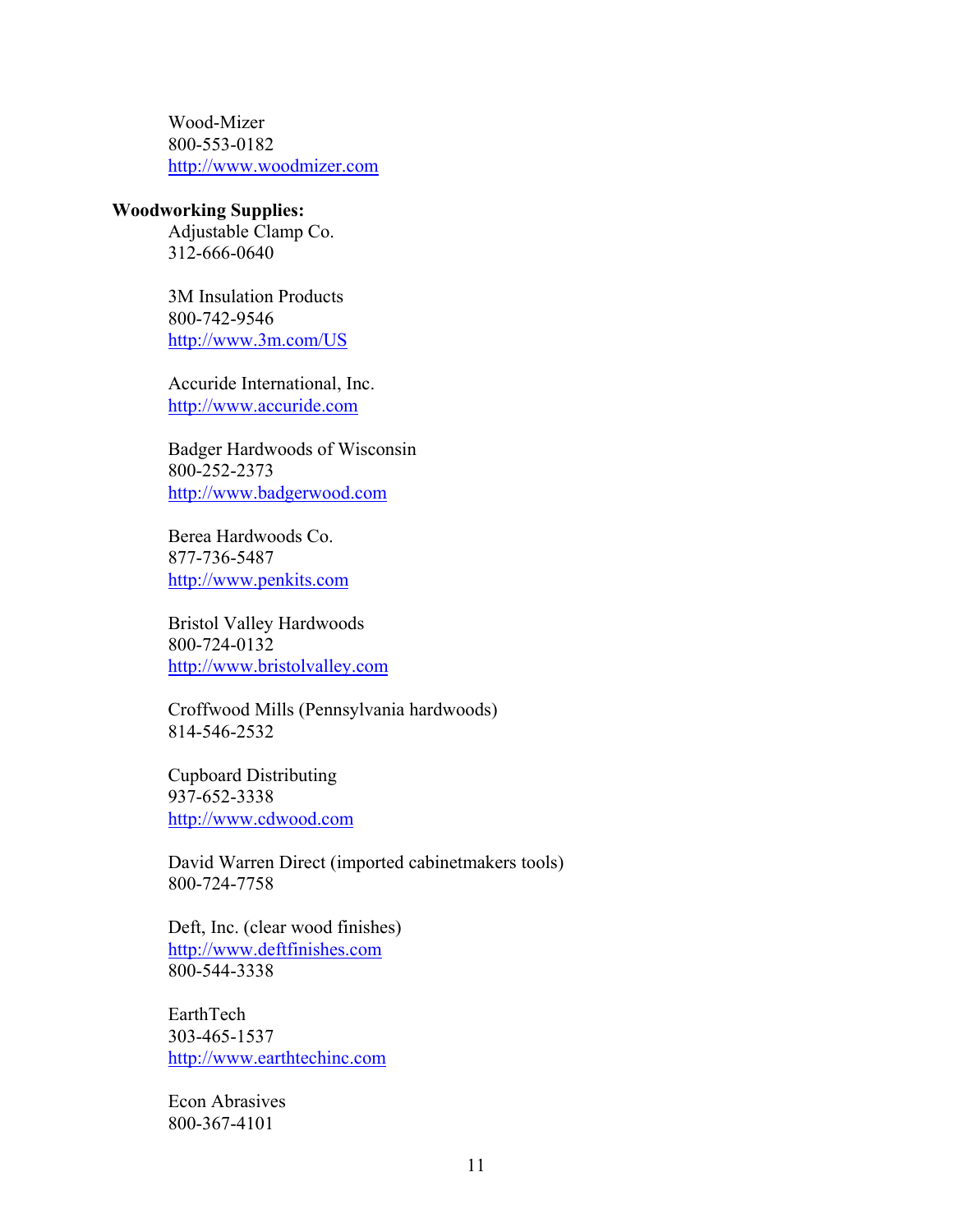Wood-Mizer 800-553-0182 <http://www.woodmizer.com>

#### **Woodworking Supplies:**

Adjustable Clamp Co. 312-666-0640

3M Insulation Products 800-742-9546 <http://www.3m.com/US>

Accuride International, Inc. <http://www.accuride.com>

Badger Hardwoods of Wisconsin 800-252-2373 <http://www.badgerwood.com>

Berea Hardwoods Co. 877-736-5487 <http://www.penkits.com>

Bristol Valley Hardwoods 800-724-0132 <http://www.bristolvalley.com>

Croffwood Mills (Pennsylvania hardwoods) 814-546-2532

Cupboard Distributing 937-652-3338 <http://www.cdwood.com>

David Warren Direct (imported cabinetmakers tools) 800-724-7758

Deft, Inc. (clear wood finishes) <http://www.deftfinishes.com> 800-544-3338

EarthTech 303-465-1537 <http://www.earthtechinc.com>

Econ Abrasives 800-367-4101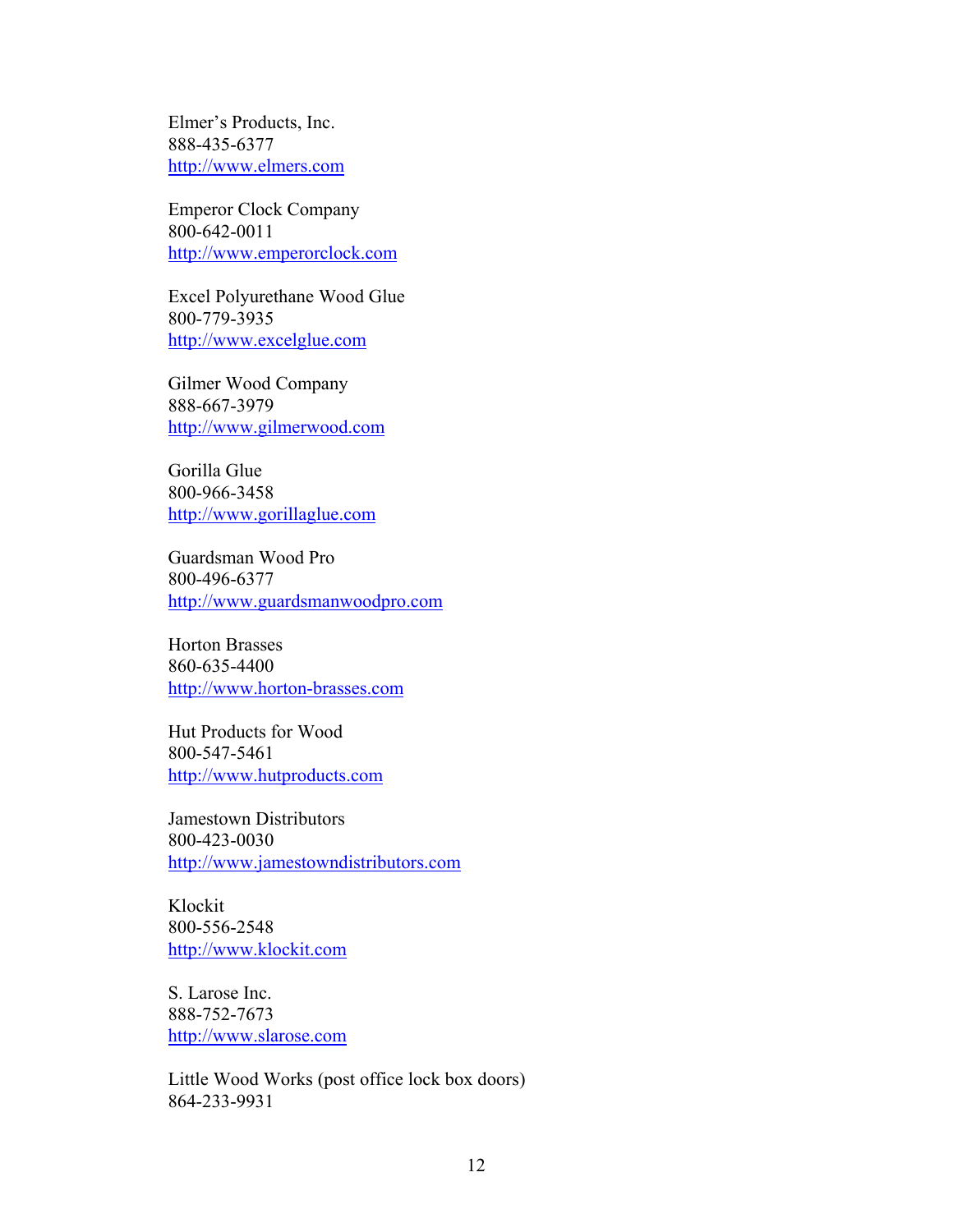Elmer's Products, Inc. 888-435-6377 <http://www.elmers.com>

Emperor Clock Company 800-642-0011 <http://www.emperorclock.com>

Excel Polyurethane Wood Glue 800-779-3935 <http://www.excelglue.com>

Gilmer Wood Company 888-667-3979 <http://www.gilmerwood.com>

Gorilla Glue 800-966-3458 <http://www.gorillaglue.com>

Guardsman Wood Pro 800-496-6377 <http://www.guardsmanwoodpro.com>

Horton Brasses 860-635-4400 <http://www.horton-brasses.com>

Hut Products for Wood 800-547-5461 <http://www.hutproducts.com>

Jamestown Distributors 800-423-0030 <http://www.jamestowndistributors.com>

Klockit 800-556-2548 <http://www.klockit.com>

S. Larose Inc. 888-752-7673 <http://www.slarose.com>

Little Wood Works (post office lock box doors) 864-233-9931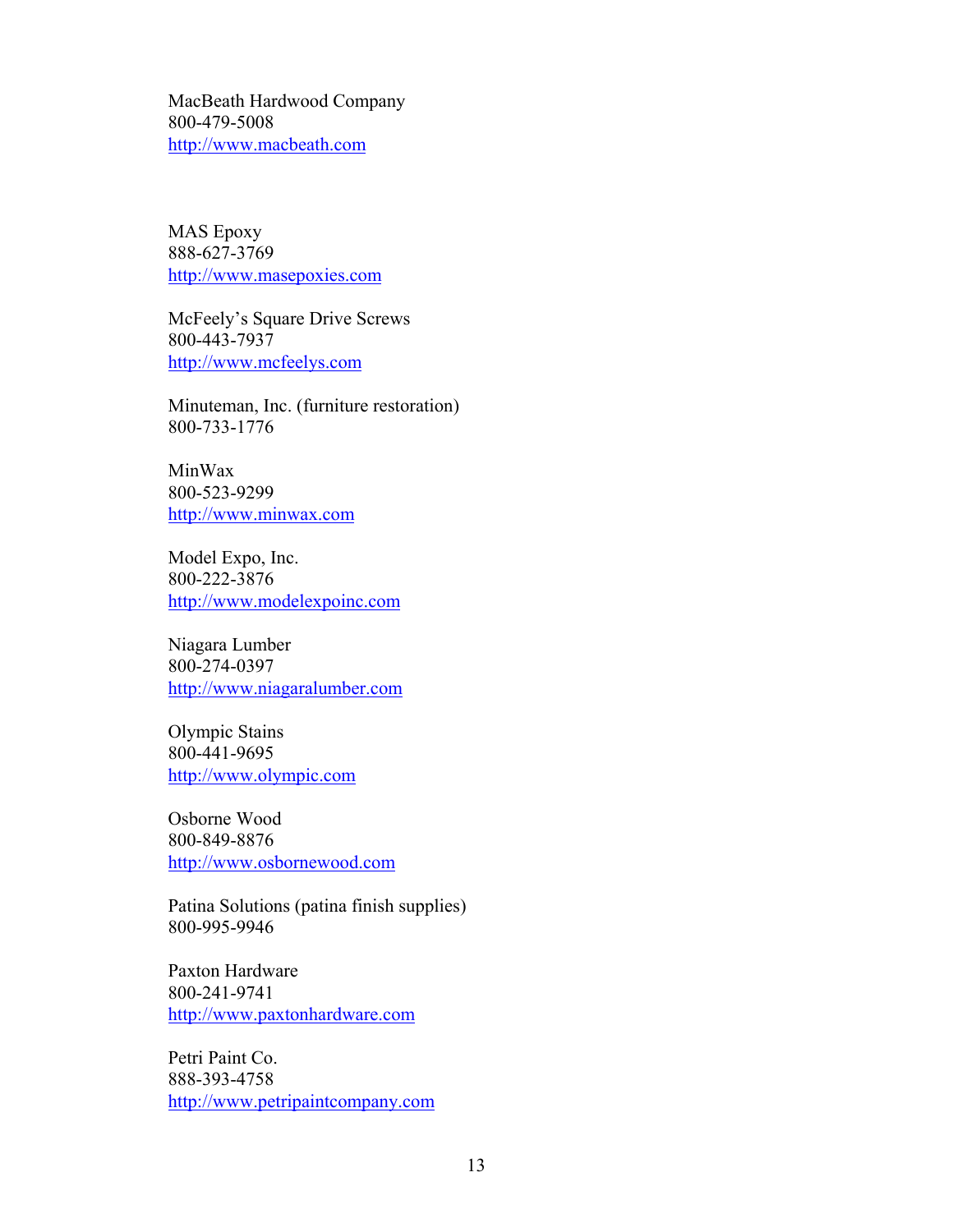MacBeath Hardwood Company 800-479-5008 <http://www.macbeath.com>

MAS Epoxy 888-627-3769 <http://www.masepoxies.com>

McFeely's Square Drive Screws 800-443-7937 <http://www.mcfeelys.com>

Minuteman, Inc. (furniture restoration) 800-733-1776

MinWax 800-523-9299 <http://www.minwax.com>

Model Expo, Inc. 800-222-3876 <http://www.modelexpoinc.com>

Niagara Lumber 800-274-0397 <http://www.niagaralumber.com>

Olympic Stains 800-441-9695 <http://www.olympic.com>

Osborne Wood 800-849-8876 <http://www.osbornewood.com>

Patina Solutions (patina finish supplies) 800-995-9946

Paxton Hardware 800-241-9741 <http://www.paxtonhardware.com>

Petri Paint Co. 888-393-4758 <http://www.petripaintcompany.com>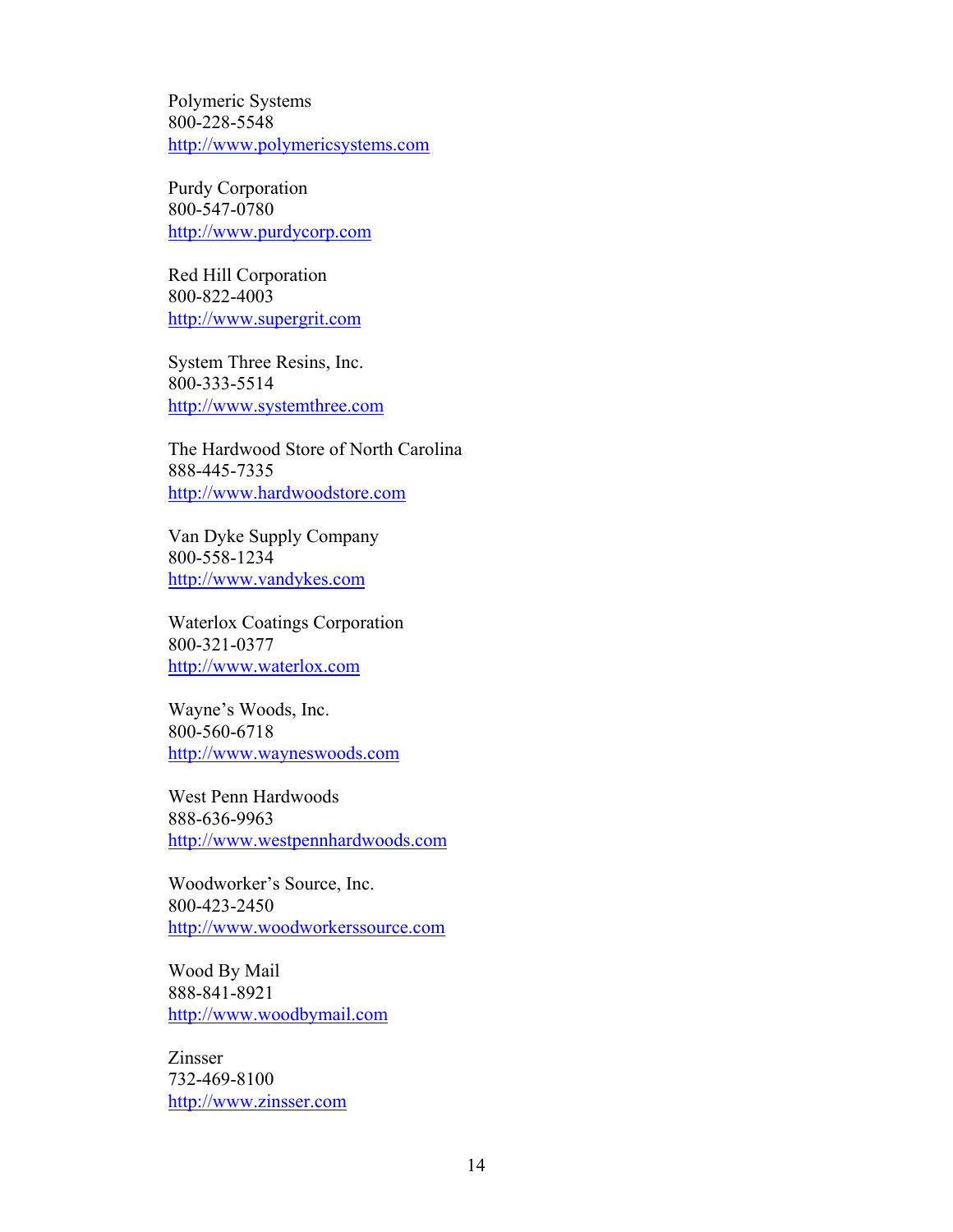Polymeric Systems 800-228-5548 <http://www.polymericsystems.com>

Purdy Corporation 800-547-0780 <http://www.purdycorp.com>

Red Hill Corporation 800-822-4003 <http://www.supergrit.com>

System Three Resins, Inc. 800-333-5514 <http://www.systemthree.com>

The Hardwood Store of North Carolina 888-445-7335 <http://www.hardwoodstore.com>

Van Dyke Supply Company 800-558-1234 <http://www.vandykes.com>

Waterlox Coatings Corporation 800-321-0377 <http://www.waterlox.com>

Wayne's Woods, Inc. 800-560-6718 <http://www.wayneswoods.com>

West Penn Hardwoods 888-636-9963 <http://www.westpennhardwoods.com>

Woodworker's Source, Inc. 800-423-2450 <http://www.woodworkerssource.com>

Wood By Mail 888-841-8921 <http://www.woodbymail.com>

Zinsser 732-469-8100 <http://www.zinsser.com>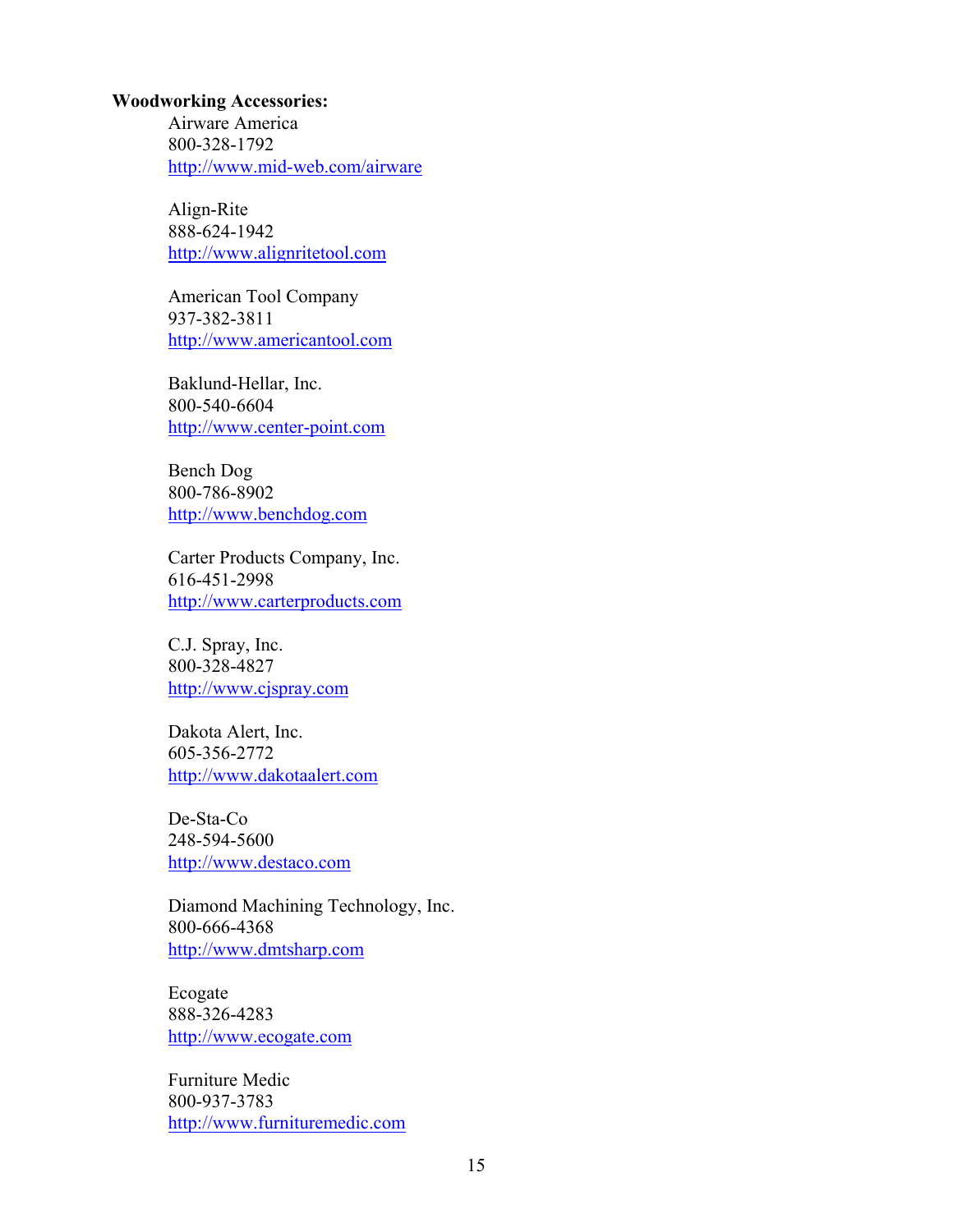#### **Woodworking Accessories:**

Airware America 800-328-1792 <http://www.mid-web.com/airware>

Align-Rite 888-624-1942 <http://www.alignritetool.com>

American Tool Company 937-382-3811 <http://www.americantool.com>

Baklund-Hellar, Inc. 800-540-6604 <http://www.center-point.com>

Bench Dog 800-786-8902 <http://www.benchdog.com>

Carter Products Company, Inc. 616-451-2998 <http://www.carterproducts.com>

C.J. Spray, Inc. 800-328-4827 <http://www.cjspray.com>

Dakota Alert, Inc. 605-356-2772 <http://www.dakotaalert.com>

De-Sta-Co 248-594-5600 <http://www.destaco.com>

Diamond Machining Technology, Inc. 800-666-4368 <http://www.dmtsharp.com>

Ecogate 888-326-4283 <http://www.ecogate.com>

Furniture Medic 800-937-3783 <http://www.furnituremedic.com>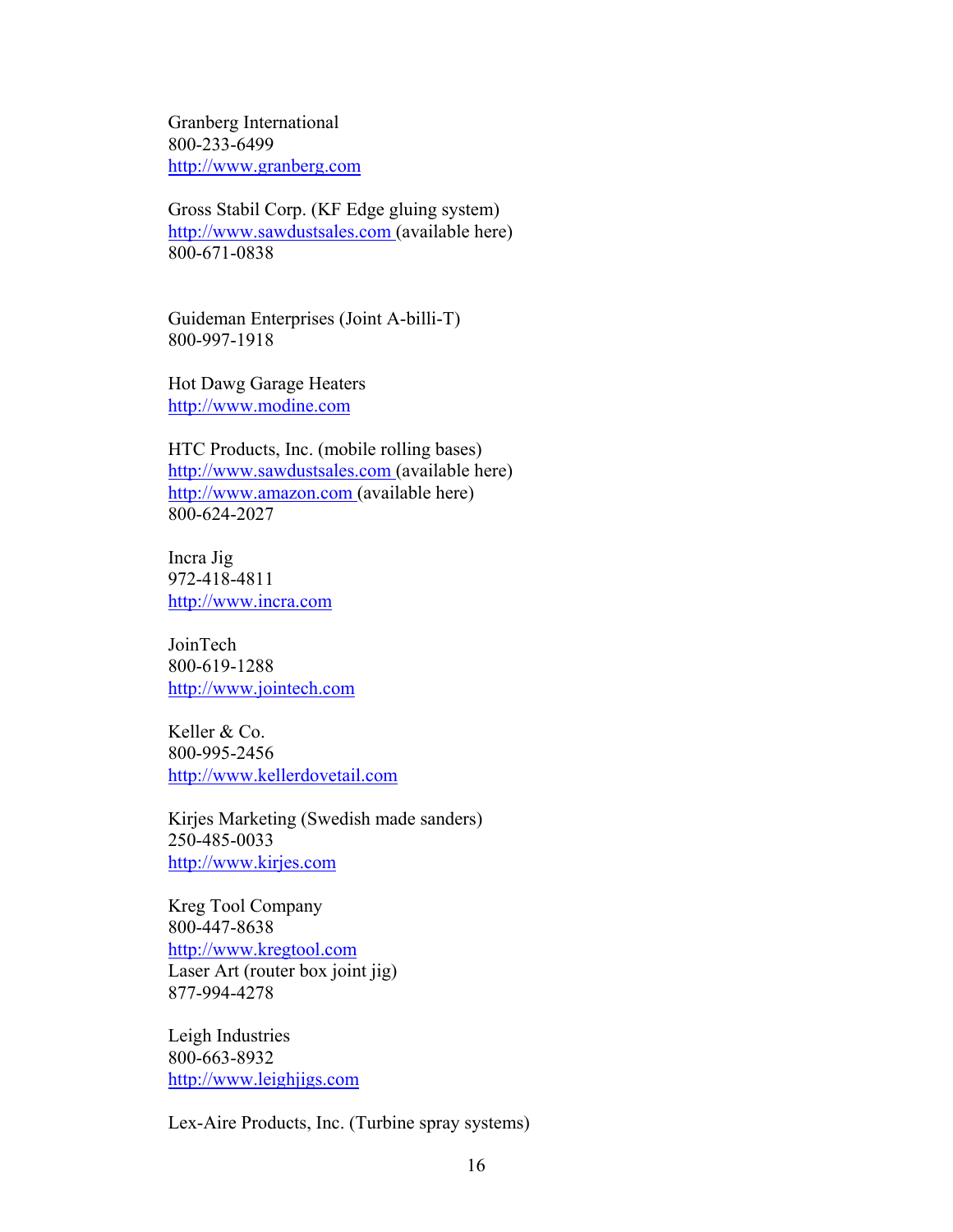Granberg International 800-233-6499 <http://www.granberg.com>

Gross Stabil Corp. (KF Edge gluing system) <http://www.sawdustsales.com> (available here) 800-671-0838

Guideman Enterprises (Joint A-billi-T) 800-997-1918

Hot Dawg Garage Heaters <http://www.modine.com>

HTC Products, Inc. (mobile rolling bases) <http://www.sawdustsales.com> (available here) <http://www.amazon.com>(available here) 800-624-2027

Incra Jig 972-418-4811 <http://www.incra.com>

JoinTech 800-619-1288 <http://www.jointech.com>

Keller & Co. 800-995-2456 <http://www.kellerdovetail.com>

Kirjes Marketing (Swedish made sanders) 250-485-0033 <http://www.kirjes.com>

Kreg Tool Company 800-447-8638 <http://www.kregtool.com> Laser Art (router box joint jig) 877-994-4278

Leigh Industries 800-663-8932 <http://www.leighjigs.com>

Lex-Aire Products, Inc. (Turbine spray systems)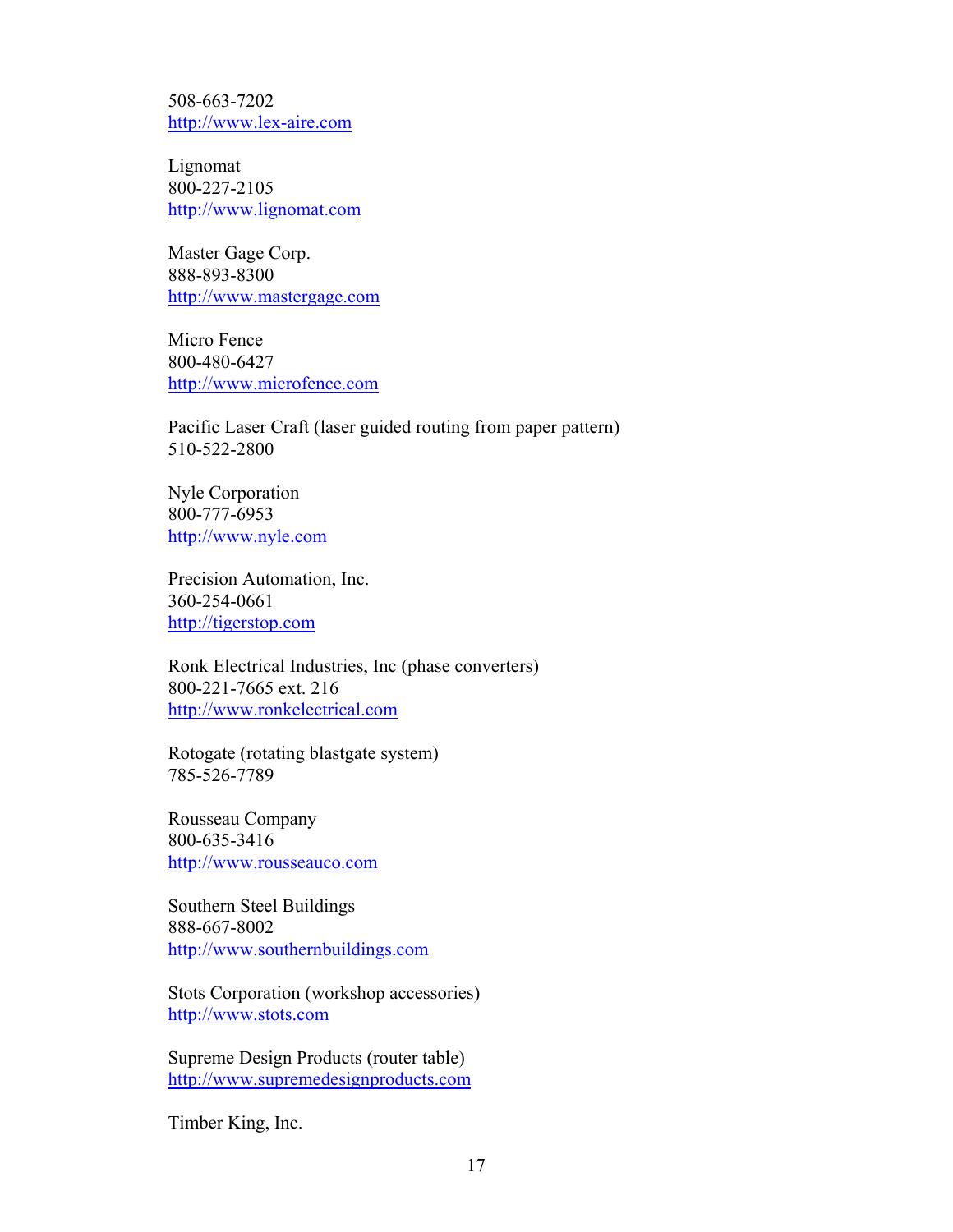508-663-7202 <http://www.lex-aire.com>

Lignomat 800-227-2105 <http://www.lignomat.com>

Master Gage Corp. 888-893-8300 <http://www.mastergage.com>

Micro Fence 800-480-6427 <http://www.microfence.com>

Pacific Laser Craft (laser guided routing from paper pattern) 510-522-2800

Nyle Corporation 800-777-6953 <http://www.nyle.com>

Precision Automation, Inc. 360-254-0661 <http://tigerstop.com>

Ronk Electrical Industries, Inc (phase converters) 800-221-7665 ext. 216 <http://www.ronkelectrical.com>

Rotogate (rotating blastgate system) 785-526-7789

Rousseau Company 800-635-3416 <http://www.rousseauco.com>

Southern Steel Buildings 888-667-8002 <http://www.southernbuildings.com>

Stots Corporation (workshop accessories) <http://www.stots.com>

Supreme Design Products (router table) <http://www.supremedesignproducts.com>

Timber King, Inc.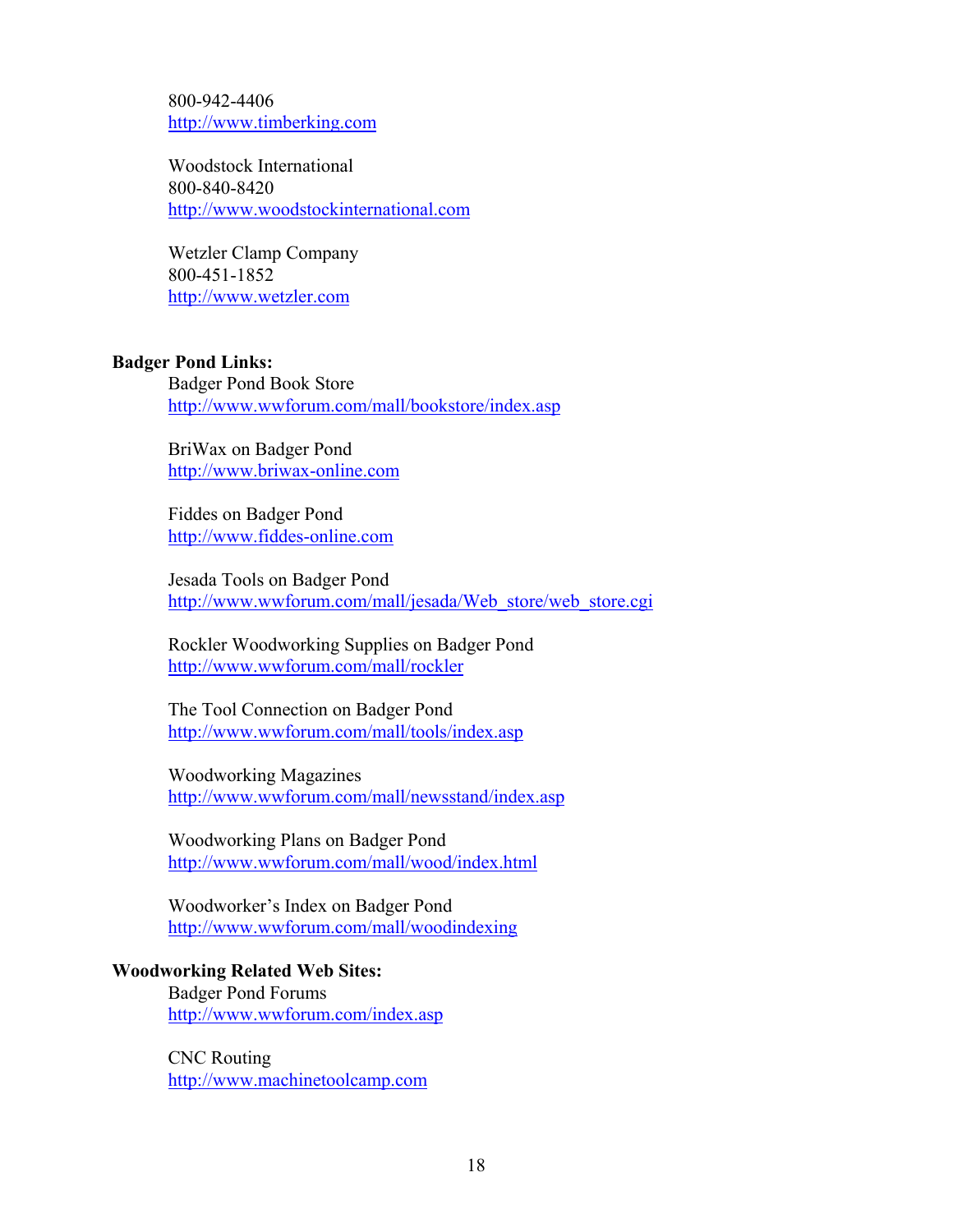800-942-4406 <http://www.timberking.com>

Woodstock International 800-840-8420 <http://www.woodstockinternational.com>

Wetzler Clamp Company 800-451-1852 <http://www.wetzler.com>

## **Badger Pond Links:**

Badger Pond Book Store <http://www.wwforum.com/mall/bookstore/index.asp>

BriWax on Badger Pond <http://www.briwax-online.com>

Fiddes on Badger Pond <http://www.fiddes-online.com>

Jesada Tools on Badger Pond [http://www.wwforum.com/mall/jesada/Web\\_store/web\\_store.cgi](http://www.wwforum.com/mall/jesada/Web_store/web_store.cgi)

Rockler Woodworking Supplies on Badger Pond <http://www.wwforum.com/mall/rockler>

The Tool Connection on Badger Pond <http://www.wwforum.com/mall/tools/index.asp>

Woodworking Magazines <http://www.wwforum.com/mall/newsstand/index.asp>

Woodworking Plans on Badger Pond <http://www.wwforum.com/mall/wood/index.html>

Woodworker's Index on Badger Pond <http://www.wwforum.com/mall/woodindexing>

**Woodworking Related Web Sites:**

Badger Pond Forums <http://www.wwforum.com/index.asp>

CNC Routing <http://www.machinetoolcamp.com>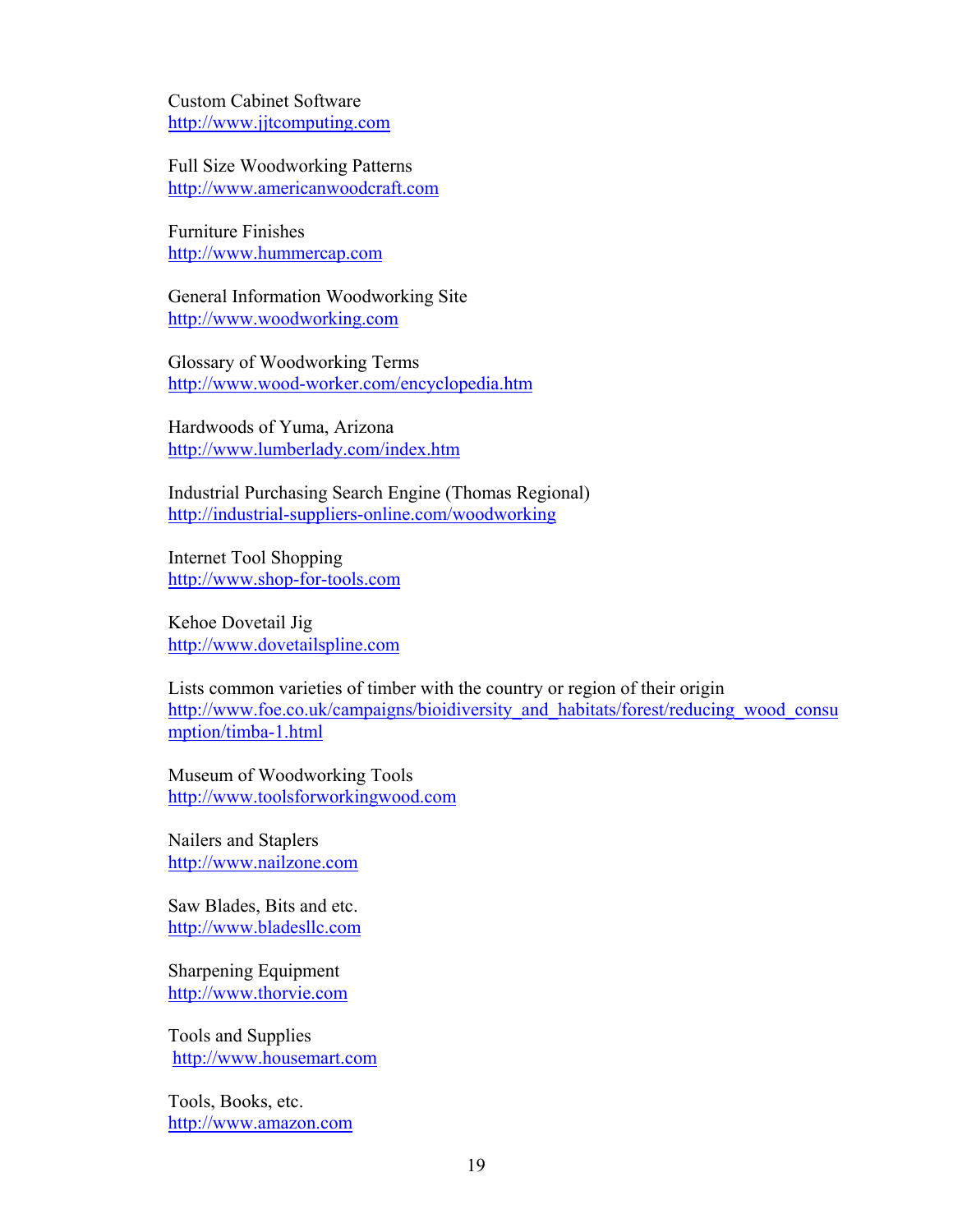Custom Cabinet Software <http://www.jjtcomputing.com>

Full Size Woodworking Patterns <http://www.americanwoodcraft.com>

Furniture Finishes <http://www.hummercap.com>

General Information Woodworking Site <http://www.woodworking.com>

Glossary of Woodworking Terms <http://www.wood-worker.com/encyclopedia.htm>

Hardwoods of Yuma, Arizona <http://www.lumberlady.com/index.htm>

Industrial Purchasing Search Engine (Thomas Regional) <http://industrial-suppliers-online.com/woodworking>

Internet Tool Shopping <http://www.shop-for-tools.com>

Kehoe Dovetail Jig <http://www.dovetailspline.com>

Lists common varieties of timber with the country or region of their origin http://www.foe.co.uk/campaigns/bioidiversity and habitats/forest/reducing wood consu mption/timba-1.html

Museum of Woodworking Tools <http://www.toolsforworkingwood.com>

Nailers and Staplers <http://www.nailzone.com>

Saw Blades, Bits and etc. <http://www.bladesllc.com>

Sharpening Equipment <http://www.thorvie.com>

Tools and Supplies <http://www.housemart.com>

Tools, Books, etc. <http://www.amazon.com>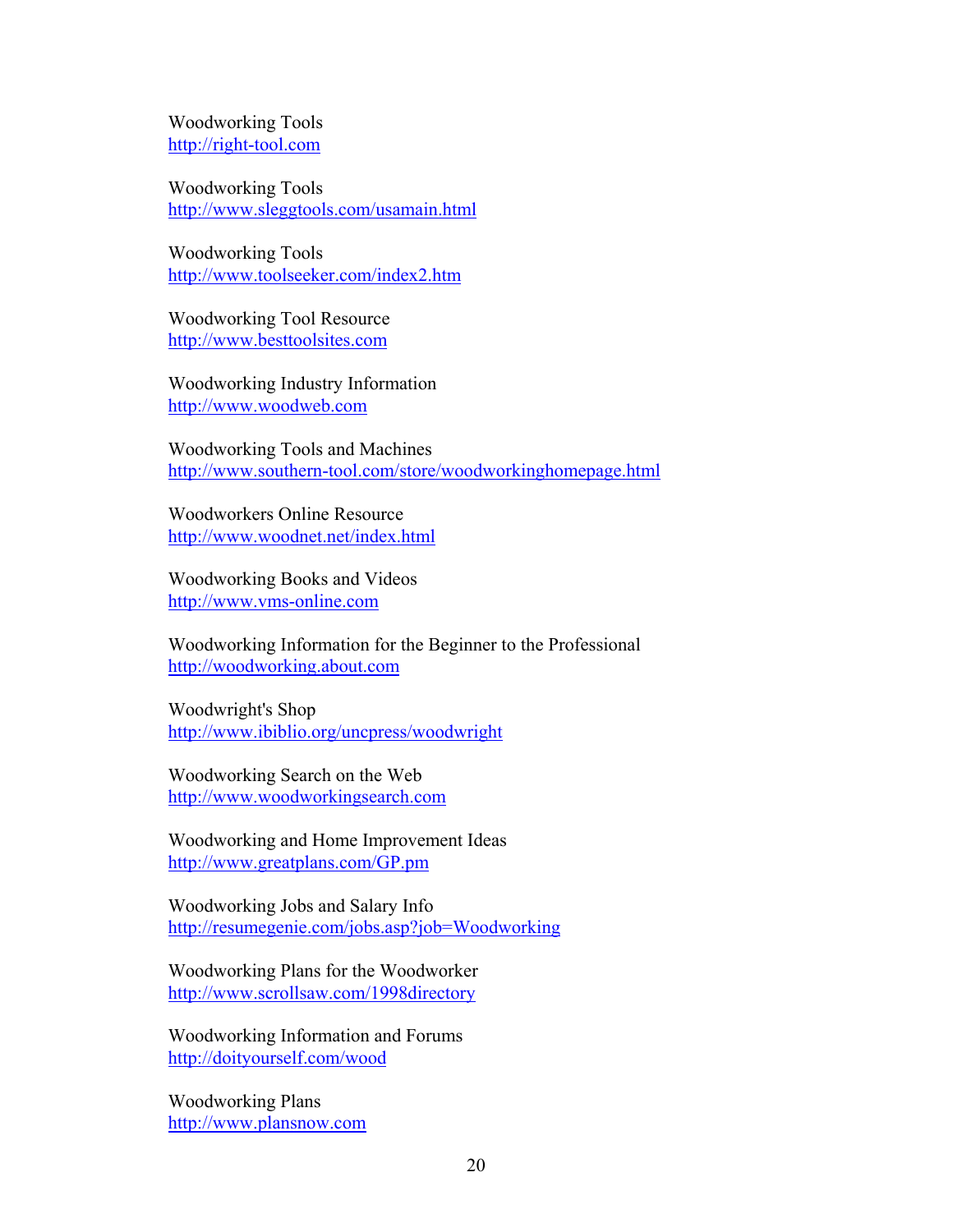Woodworking Tools <http://right-tool.com>

Woodworking Tools <http://www.sleggtools.com/usamain.html>

Woodworking Tools <http://www.toolseeker.com/index2.htm>

Woodworking Tool Resource <http://www.besttoolsites.com>

Woodworking Industry Information <http://www.woodweb.com>

Woodworking Tools and Machines <http://www.southern-tool.com/store/woodworkinghomepage.html>

Woodworkers Online Resource <http://www.woodnet.net/index.html>

Woodworking Books and Videos <http://www.vms-online.com>

Woodworking Information for the Beginner to the Professional <http://woodworking.about.com>

Woodwright's Shop <http://www.ibiblio.org/uncpress/woodwright>

Woodworking Search on the Web <http://www.woodworkingsearch.com>

Woodworking and Home Improvement Ideas <http://www.greatplans.com/GP.pm>

Woodworking Jobs and Salary Info <http://resumegenie.com/jobs.asp?job=Woodworking>

Woodworking Plans for the Woodworker <http://www.scrollsaw.com/1998directory>

Woodworking Information and Forums <http://doityourself.com/wood>

Woodworking Plans <http://www.plansnow.com>